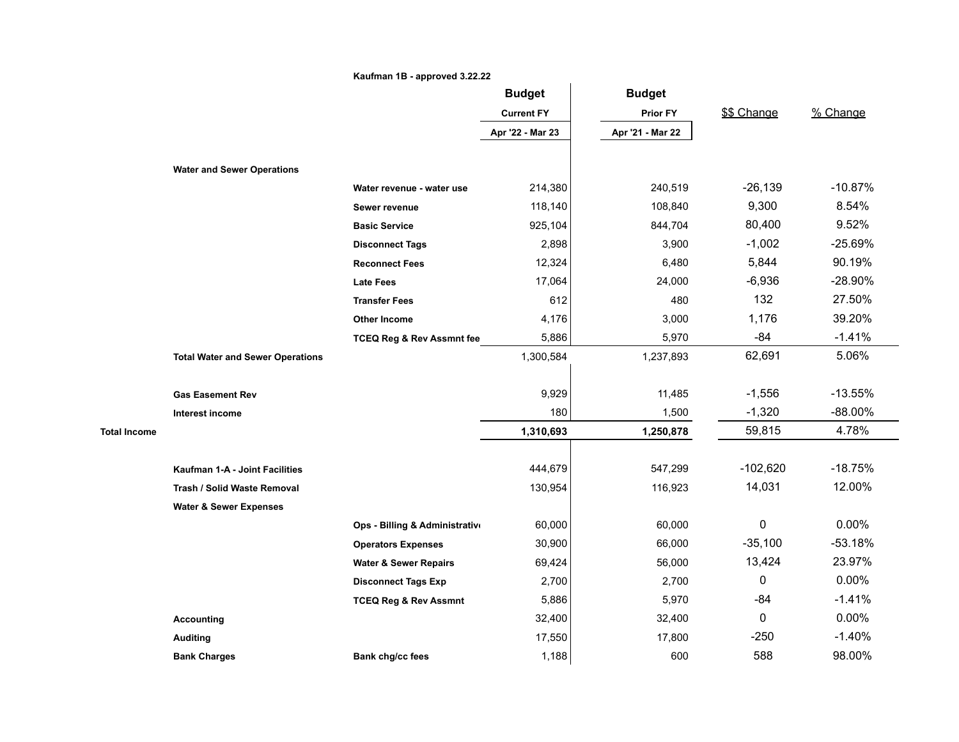|                     |                                         | Kaufman 1B - approved 3.22.22        |                   |                  |              |            |
|---------------------|-----------------------------------------|--------------------------------------|-------------------|------------------|--------------|------------|
|                     |                                         |                                      | <b>Budget</b>     | <b>Budget</b>    |              |            |
|                     |                                         |                                      | <b>Current FY</b> | <b>Prior FY</b>  | \$\$ Change  | % Change   |
|                     |                                         |                                      | Apr '22 - Mar 23  | Apr '21 - Mar 22 |              |            |
|                     |                                         |                                      |                   |                  |              |            |
|                     | <b>Water and Sewer Operations</b>       |                                      |                   |                  |              |            |
|                     |                                         | Water revenue - water use            | 214,380           | 240,519          | $-26,139$    | $-10.87%$  |
|                     |                                         | Sewer revenue                        | 118,140           | 108,840          | 9,300        | 8.54%      |
|                     |                                         | <b>Basic Service</b>                 | 925,104           | 844,704          | 80,400       | 9.52%      |
|                     |                                         | <b>Disconnect Tags</b>               | 2,898             | 3,900            | $-1,002$     | $-25.69%$  |
|                     |                                         | <b>Reconnect Fees</b>                | 12,324            | 6,480            | 5,844        | 90.19%     |
|                     |                                         | <b>Late Fees</b>                     | 17,064            | 24,000           | $-6,936$     | $-28.90%$  |
|                     |                                         | <b>Transfer Fees</b>                 | 612               | 480              | 132          | 27.50%     |
|                     |                                         | <b>Other Income</b>                  | 4,176             | 3,000            | 1,176        | 39.20%     |
|                     |                                         | <b>TCEQ Reg &amp; Rev Assmnt fee</b> | 5,886             | 5,970            | $-84$        | $-1.41%$   |
|                     | <b>Total Water and Sewer Operations</b> |                                      | 1,300,584         | 1,237,893        | 62,691       | 5.06%      |
|                     |                                         |                                      |                   |                  |              |            |
|                     | <b>Gas Easement Rev</b>                 |                                      | 9,929             | 11,485           | $-1,556$     | $-13.55%$  |
|                     | Interest income                         |                                      | 180               | 1,500            | $-1,320$     | $-88.00\%$ |
| <b>Total Income</b> |                                         |                                      | 1,310,693         | 1,250,878        | 59,815       | 4.78%      |
|                     |                                         |                                      |                   |                  |              |            |
|                     | Kaufman 1-A - Joint Facilities          |                                      | 444,679           | 547,299          | $-102,620$   | $-18.75%$  |
|                     | <b>Trash / Solid Waste Removal</b>      |                                      | 130,954           | 116,923          | 14,031       | 12.00%     |
|                     | <b>Water &amp; Sewer Expenses</b>       |                                      |                   |                  |              |            |
|                     |                                         | Ops - Billing & Administrative       | 60,000            | 60,000           | 0            | $0.00\%$   |
|                     |                                         | <b>Operators Expenses</b>            | 30,900            | 66,000           | $-35,100$    | $-53.18%$  |
|                     |                                         | <b>Water &amp; Sewer Repairs</b>     | 69,424            | 56,000           | 13,424       | 23.97%     |
|                     |                                         | <b>Disconnect Tags Exp</b>           | 2,700             | 2,700            | $\mathbf{0}$ | 0.00%      |
|                     |                                         | <b>TCEQ Reg &amp; Rev Assmnt</b>     | 5,886             | 5,970            | $-84$        | $-1.41%$   |
|                     | <b>Accounting</b>                       |                                      | 32,400            | 32,400           | 0            | 0.00%      |
|                     | <b>Auditing</b>                         |                                      | 17,550            | 17,800           | $-250$       | $-1.40%$   |
|                     | <b>Bank Charges</b>                     | <b>Bank chg/cc fees</b>              | 1,188             | 600              | 588          | 98.00%     |